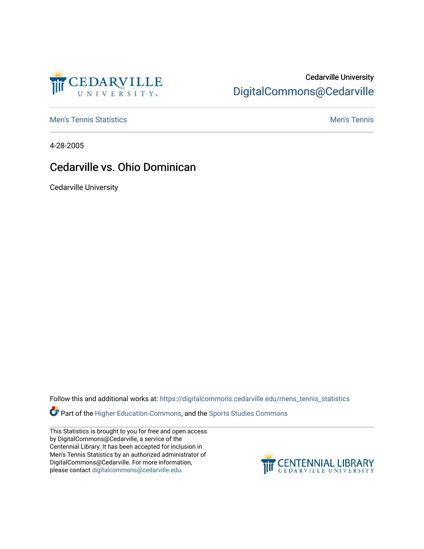

## Cedarville University [DigitalCommons@Cedarville](https://digitalcommons.cedarville.edu/)

**[Men's Tennis Statistics](https://digitalcommons.cedarville.edu/mens_tennis_statistics) Mental According to the Control of Control According Mental Men's Tennis** 

4-28-2005

## Cedarville vs. Ohio Dominican

Cedarville University

Follow this and additional works at: [https://digitalcommons.cedarville.edu/mens\\_tennis\\_statistics](https://digitalcommons.cedarville.edu/mens_tennis_statistics?utm_source=digitalcommons.cedarville.edu%2Fmens_tennis_statistics%2F1&utm_medium=PDF&utm_campaign=PDFCoverPages)

Part of the [Higher Education Commons,](http://network.bepress.com/hgg/discipline/1245?utm_source=digitalcommons.cedarville.edu%2Fmens_tennis_statistics%2F1&utm_medium=PDF&utm_campaign=PDFCoverPages) and the [Sports Studies Commons](http://network.bepress.com/hgg/discipline/1198?utm_source=digitalcommons.cedarville.edu%2Fmens_tennis_statistics%2F1&utm_medium=PDF&utm_campaign=PDFCoverPages) 

This Statistics is brought to you for free and open access by DigitalCommons@Cedarville, a service of the Centennial Library. It has been accepted for inclusion in Men's Tennis Statistics by an authorized administrator of DigitalCommons@Cedarville. For more information, please contact [digitalcommons@cedarville.edu](mailto:digitalcommons@cedarville.edu).